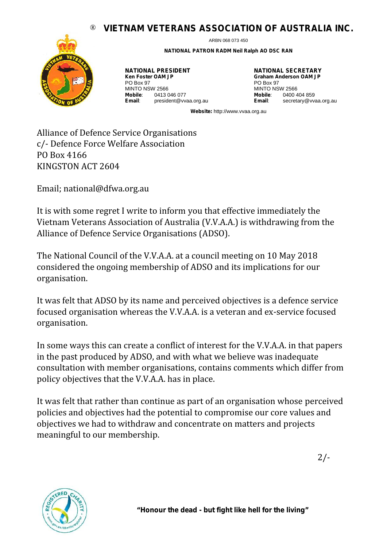## ® **VIETNAM VETERANS ASSOCIATION OF AUSTRALIA INC.**



ARBN 068 073 450

**NATIONAL PATRON RADM Neil Ralph AO DSC RAN**

**NATIONAL PRESIDENT Ken Foster OAM JP** PO Box 97 **MINTO NSW 2566<br>Mobile: 0413 0 Mobile**: 0413 046 077 **Email**: president@vvaa.org.au **NATIONAL SECRETARY Graham Anderson OAM JP** PO Box 97 MINTO NSW 2566<br>Mobile: 04004 0400 404 859 **Email**: secretary@vvaa.org.au

**Website:** http://www.vvaa.org.au

Alliance of Defence Service Organisations c/- Defence Force Welfare Association PO Box 4166 KINGSTON ACT 2604

Email; national@dfwa.org.au

It is with some regret I write to inform you that effective immediately the Vietnam Veterans Association of Australia (V.V.A.A.) is withdrawing from the Alliance of Defence Service Organisations (ADSO).

The National Council of the V.V.A.A. at a council meeting on 10 May 2018 considered the ongoing membership of ADSO and its implications for our organisation.

It was felt that ADSO by its name and perceived objectives is a defence service focused organisation whereas the V.V.A.A. is a veteran and ex-service focused organisation.

In some ways this can create a conflict of interest for the V.V.A.A. in that papers in the past produced by ADSO, and with what we believe was inadequate consultation with member organisations, contains comments which differ from policy objectives that the V.V.A.A. has in place.

It was felt that rather than continue as part of an organisation whose perceived policies and objectives had the potential to compromise our core values and objectives we had to withdraw and concentrate on matters and projects meaningful to our membership.



**"Honour the dead - but fight like hell for the living"**